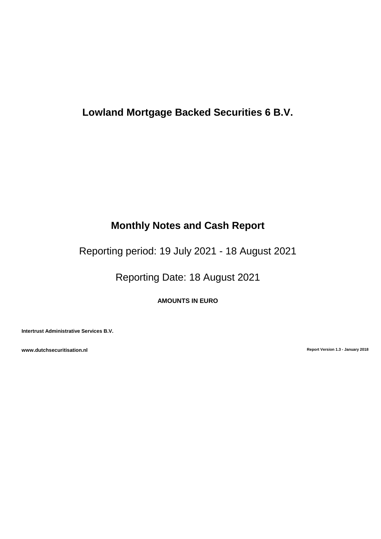# **Lowland Mortgage Backed Securities 6 B.V.**

# **Monthly Notes and Cash Report**

Reporting period: 19 July 2021 - 18 August 2021

Reporting Date: 18 August 2021

**AMOUNTS IN EURO**

**Intertrust Administrative Services B.V.**

**www.dutchsecuritisation.nl Report Version 1.3 - January 2018**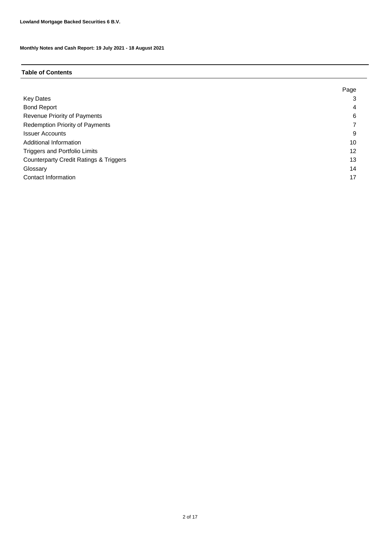# **Table of Contents**

|                                                   | Page |
|---------------------------------------------------|------|
| <b>Key Dates</b>                                  | 3    |
| <b>Bond Report</b>                                | 4    |
| Revenue Priority of Payments                      | 6    |
| <b>Redemption Priority of Payments</b>            |      |
| <b>Issuer Accounts</b>                            | 9    |
| Additional Information                            | 10   |
| <b>Triggers and Portfolio Limits</b>              | 12   |
| <b>Counterparty Credit Ratings &amp; Triggers</b> | 13   |
| Glossary                                          | 14   |
| Contact Information                               | 17   |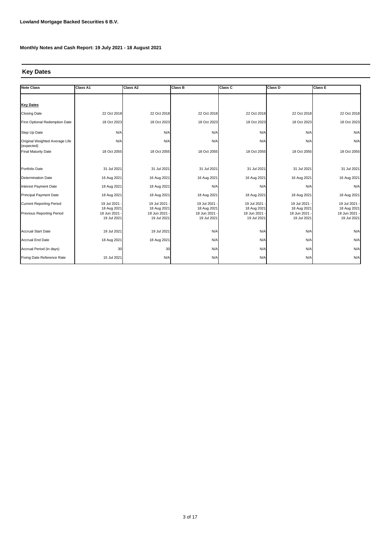# **Key Dates**

| <b>Note Class</b>                            | <b>Class A1</b>            | <b>Class A2</b>            | <b>Class B</b>             | Class C                    | Class D                    | <b>Class E</b>             |
|----------------------------------------------|----------------------------|----------------------------|----------------------------|----------------------------|----------------------------|----------------------------|
| <b>Key Dates</b>                             |                            |                            |                            |                            |                            |                            |
|                                              |                            |                            |                            |                            |                            |                            |
| <b>Closing Date</b>                          | 22 Oct 2018                | 22 Oct 2018                | 22 Oct 2018                | 22 Oct 2018                | 22 Oct 2018                | 22 Oct 2018                |
| First Optional Redemption Date               | 18 Oct 2023                | 18 Oct 2023                | 18 Oct 2023                | 18 Oct 2023                | 18 Oct 2023                | 18 Oct 2023                |
| Step Up Date                                 | N/A                        | N/A                        | N/A                        | N/A                        | N/A                        | N/A                        |
| Original Weighted Average Life<br>(expected) | N/A                        | N/A                        | N/A                        | N/A                        | N/A                        | N/A                        |
| <b>Final Maturity Date</b>                   | 18 Oct 2055                | 18 Oct 2055                | 18 Oct 2055                | 18 Oct 2055                | 18 Oct 2055                | 18 Oct 2055                |
| Portfolio Date                               | 31 Jul 2021                | 31 Jul 2021                | 31 Jul 2021                | 31 Jul 2021                | 31 Jul 2021                | 31 Jul 2021                |
| <b>Determination Date</b>                    | 16 Aug 2021                | 16 Aug 2021                | 16 Aug 2021                | 16 Aug 2021                | 16 Aug 2021                | 16 Aug 2021                |
| Interest Payment Date                        | 18 Aug 2021                | 18 Aug 2021                | N/A                        | N/A                        | N/A                        | N/A                        |
| Principal Payment Date                       | 18 Aug 2021                | 18 Aug 2021                | 18 Aug 2021                | 18 Aug 2021                | 18 Aug 2021                | 18 Aug 2021                |
| <b>Current Reporting Period</b>              | 19 Jul 2021<br>18 Aug 2021 | 19 Jul 2021<br>18 Aug 2021 | 19 Jul 2021<br>18 Aug 2021 | 19 Jul 2021<br>18 Aug 2021 | 19 Jul 2021<br>18 Aug 2021 | 19 Jul 2021<br>18 Aug 2021 |
| <b>Previous Reporting Period</b>             | 18 Jun 2021<br>19 Jul 2021 | 18 Jun 2021<br>19 Jul 2021 | 18 Jun 2021<br>19 Jul 2021 | 18 Jun 2021<br>19 Jul 2021 | 18 Jun 2021<br>19 Jul 2021 | 18 Jun 2021<br>19 Jul 2021 |
| <b>Accrual Start Date</b>                    | 19 Jul 2021                | 19 Jul 2021                | N/A                        | N/A                        | N/A                        | N/A                        |
| <b>Accrual End Date</b>                      | 18 Aug 2021                | 18 Aug 2021                | N/A                        | N/A                        | N/A                        | N/A                        |
| Accrual Period (in days)                     | 30                         | 30                         | N/A                        | N/A                        | N/A                        | N/A                        |
| Fixing Date Reference Rate                   | 15 Jul 2021                | N/A                        | N/A                        | N/A                        | N/A                        | N/A                        |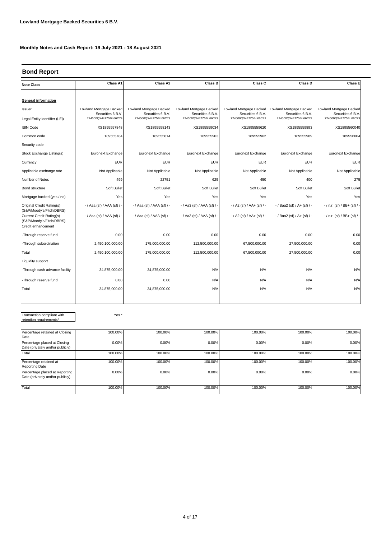## **Bond Report**

| <b>Note Class</b>                                                                 | Class A1                                     | Class A2                                    | <b>Class B</b>                               | Class C                                     | Class D                                      | <b>Class E</b>                               |
|-----------------------------------------------------------------------------------|----------------------------------------------|---------------------------------------------|----------------------------------------------|---------------------------------------------|----------------------------------------------|----------------------------------------------|
|                                                                                   |                                              |                                             |                                              |                                             |                                              |                                              |
| <b>General information</b>                                                        |                                              |                                             |                                              |                                             |                                              |                                              |
| Issuer                                                                            | Lowland Mortgage Backed<br>Securities 6 B.V. | Lowland Mortgage Backed<br>Securities 6 B.V | Lowland Mortgage Backed<br>Securities 6 B.V. | Lowland Mortgage Backed<br>Securities 6 B.V | Lowland Mortgage Backed<br>Securities 6 B.V. | Lowland Mortgage Backed<br>Securities 6 B.V. |
| Legal Entity Identifier (LEI)                                                     | 724500QX447Z5BL66C79                         | 724500QX447Z5BL66C79                        | 724500QX447Z5BL66C79                         | 724500QX447Z5BL66C79                        | 724500QX447Z5BL66C79                         | 724500QX447Z5BL66C79                         |
| <b>ISIN Code</b>                                                                  | XS1895557848                                 | XS1895558143                                | XS1895559034                                 | XS1895559620                                | XS1895559893                                 | XS1895560040                                 |
| Common code                                                                       | 189555784                                    | 189555814                                   | 189555903                                    | 189555962                                   | 189555989                                    | 189556004                                    |
| Security code                                                                     |                                              |                                             |                                              |                                             |                                              |                                              |
| Stock Exchange Listing(s)                                                         | Euronext Exchange                            | Euronext Exchange                           | Euronext Exchange                            | Euronext Exchange                           | Euronext Exchange                            | Euronext Exchange                            |
| Currency                                                                          | <b>EUR</b>                                   | <b>EUR</b>                                  | <b>EUR</b>                                   | <b>EUR</b>                                  | <b>EUR</b>                                   | <b>EUR</b>                                   |
| Applicable exchange rate                                                          | Not Applicable                               | Not Applicable                              | Not Applicable                               | Not Applicable                              | Not Applicable                               | Not Applicable                               |
| Number of Notes                                                                   | 499                                          | 22751                                       | 625                                          | 450                                         | 400                                          | 275                                          |
| Bond structure                                                                    | Soft Bullet                                  | Soft Bullet                                 | Soft Bullet                                  | Soft Bullet                                 | Soft Bullet                                  | Soft Bullet                                  |
| Mortgage backed (yes / no)                                                        | Yes                                          | Yes                                         | Yes                                          | Yes                                         | Yes                                          | Yes                                          |
| Original Credit Rating(s)<br>(S&P/Moody's/Fitch/DBRS)                             | - / Aaa (sf) / AAA (sf) / -                  | -/ Aaa (sf) / AAA (sf) /                    | - / Aa3 (sf) / AAA (sf) / -                  | $-$ / A2 (sf) / AA+ (sf) / -                | - / Baa2 (sf) / A+ (sf) / -                  | $-$ / n.r. (sf) / BB+ (sf) / -               |
| <b>Current Credit Rating(s)</b><br>(S&P/Moody's/Fitch/DBRS)<br>Credit enhancement | - / Aaa (sf) / AAA (sf) / -                  | -/ Aaa (sf) / AAA (sf) / -                  | - / Aa3 (sf) / AAA (sf) / -                  | $-$ / A2 (sf) / AA+ (sf) / -                | - / Baa2 (sf) / A+ (sf) / -                  | $-$ / n.r. (sf) / BB+ (sf) / -               |
| -Through reserve fund                                                             | 0.00                                         | 0.00                                        | 0.00                                         | 0.00                                        | 0.00                                         | 0.00                                         |
| -Through subordination                                                            | 2,450,100,000.00                             | 175,000,000.00                              | 112,500,000.00                               | 67,500,000.00                               | 27,500,000.00                                | 0.00                                         |
| Total                                                                             | 2,450,100,000.00                             | 175,000,000.00                              | 112,500,000.00                               | 67,500,000.00                               | 27,500,000.00                                | 0.00                                         |
| Liquidity support                                                                 |                                              |                                             |                                              |                                             |                                              |                                              |
| -Through cash advance facility                                                    | 34,875,000.00                                | 34,875,000.00                               | N/A                                          | N/A                                         | N/A                                          | N/A                                          |
| -Through reserve fund                                                             | 0.00                                         | 0.00                                        | N/A                                          | N/A                                         | N/A                                          | N/A                                          |
| Total                                                                             | 34,875,000.00                                | 34,875,000.00                               | N/A                                          | N/A                                         | N/A                                          | N/A                                          |
|                                                                                   |                                              |                                             |                                              |                                             |                                              |                                              |

Transaction compliant with ntion

Yes \*

| Percentage retained at Closing<br>Date                             | 100.00% | 100.00% | 100.00% | 100.00% | 100.00% | 100.00% |
|--------------------------------------------------------------------|---------|---------|---------|---------|---------|---------|
| Percentage placed at Closing<br>Date (privately and/or publicly)   | 0.00%   | 0.00%   | 0.00%   | 0.00%   | 0.00%   | 0.00%   |
| Total                                                              | 100.00% | 100.00% | 100.00% | 100.00% | 100.00% | 100.00% |
| Percentage retained at<br><b>Reporting Date</b>                    | 100.00% | 100.00% | 100.00% | 100.00% | 100.00% | 100.00% |
| Percentage placed at Reporting<br>Date (privately and/or publicly) | 0.00%   | 0.00%   | 0.00%   | 0.00%   | 0.00%   | 0.00%   |
| Total                                                              | 100.00% | 100.00% | 100.00% | 100.00% | 100.00% | 100.00% |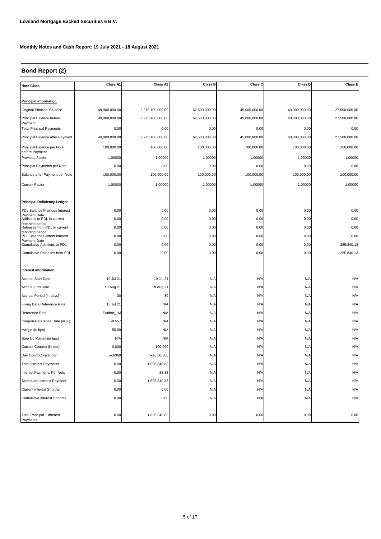# **Bond Report (2)**

| <b>Note Class</b>                                  | Class A1      | Class A2         | <b>Class B</b> | Class C       | Class D       | <b>Class E</b> |
|----------------------------------------------------|---------------|------------------|----------------|---------------|---------------|----------------|
|                                                    |               |                  |                |               |               |                |
| <b>Principal information</b>                       |               |                  |                |               |               |                |
| Original Principal Balance                         | 49,900,000.00 | 2,275,100,000.00 | 62,500,000.00  | 45,000,000.00 | 40,000,000.00 | 27,500,000.00  |
| Principal Balance before<br>Payment                | 49,900,000.00 | 2,275,100,000.00 | 62,500,000.00  | 45,000,000.00 | 40,000,000.00 | 27,500,000.00  |
| <b>Total Principal Payments</b>                    | 0.00          | 0.00             | 0.00           | 0.00          | 0.00          | 0.00           |
| Principal Balance after Payment                    | 49,900,000.00 | 2,275,100,000.00 | 62,500,000.00  | 45,000,000.00 | 40,000,000.00 | 27,500,000.00  |
| Principal Balance per Note<br>before Payment       | 100,000.00    | 100,000.00       | 100,000.00     | 100,000.00    | 100,000.00    | 100,000.00     |
| Previous Factor                                    | 1.00000       | 1.00000          | 1.00000        | 1.00000       | 1.00000       | 1.00000        |
| Principal Payments per Note                        | 0.00          | 0.00             | 0.00           | 0.00          | 0.00          | 0.00           |
| Balance after Payment per Note                     | 100,000.00    | 100,000.00       | 100,000.00     | 100,000.00    | 100,000.00    | 100,000.00     |
| <b>Current Factor</b>                              | 1.00000       | 1.00000          | 1.00000        | 1.00000       | 1.00000       | 1.00000        |
|                                                    |               |                  |                |               |               |                |
| <b>Principal Deficiency Ledger</b>                 |               |                  |                |               |               |                |
| PDL Balance Previous Interest                      | 0.00          | 0.00             | 0.00           | 0.00          | 0.00          | 0.00           |
| <b>Pavment Date</b><br>Additions to PDL in current | 0.00          | 0.00             | 0.00           | 0.00          | 0.00          | 0.00           |
| reporting period<br>Releases from PDL in current   | 0.00          | 0.00             | 0.00           | 0.00          | 0.00          | 0.00           |
| reportina period<br>PDL Balance Current Interest   | 0.00          | 0.00             | 0.00           | 0.00          | 0.00          | 0.00           |
| <b>Payment Date</b><br>Cumulative Additions to PDL | 0.00          | 0.00             | 0.00           | 0.00          | 0.00          | 285,840.13     |
| Cumulative Releases from PDL                       | 0.00          | 0.00             | 0.00           | 0.00          | 0.00          | 285,840.13     |
|                                                    |               |                  |                |               |               |                |
| <b>Interest information</b>                        |               |                  |                |               |               |                |
| <b>Accrual Start Date</b>                          | 19 Jul 21     | 19 Jul 21        | N/A            | N/A           | N/A           | N/A            |
| <b>Accrual End Date</b>                            | 18 Aug 21     | 18 Aug 21        | N/A            | N/A           | N/A           | N/A            |
| Accrual Period (in days)                           | 30            | 30               | N/A            | N/A           | N/A           | N/A            |
| Fixing Date Reference Rate                         | 15 Jul 21     | N/A              | N/A            | N/A           | N/A           | N/A            |
| Reference Rate                                     | Euribor_1M    | N/A              | N/A            | N/A           | N/A           | N/A            |
| Coupon Reference Rate (in %)                       | $-0.557$      | N/A              | N/A            | N/A           | N/A           | N/A            |
| Margin (in bps)                                    | 50.00         | N/A              | N/A            | N/A           | N/A           | N/A            |
| Step Up Margin (in bps)                            | N/A           | N/A              | N/A            | N/A           | N/A           | N/A            |
| Current Coupon (in bps)                            | 0.000         | 100.000          | N/A            | N/A           | N/A           | N/A            |
| Day Count Convention                               | act/360       | fixed 30/360     | N/A            | N/A           | N/A           | N/A            |
| <b>Total Interest Payments</b>                     | 0.00          | 1,895,840.83     | N/A            | N/A           | N/A           | N/A            |
| Interest Payments Per Note                         | 0.00          | 83.33            | N/A            | N/A           | N/A           | N/A            |
| Scheduled Interest Payment                         | 0.00          | 1,895,840.83     | N/A            | N/A           | N/A           | N/A            |
| <b>Current Interest Shortfall</b>                  | 0.00          | 0.00             | N/A            | N/A           | N/A           | N/A            |
| <b>Cumulative Interest Shortfall</b>               | 0.00          | 0.00             | N/A            | N/A           | N/A           | N/A            |
|                                                    |               |                  |                |               |               |                |
| Total Principal + Interest<br>Payments             | 0.00          | 1,895,840.83     | 0.00           | 0.00          | 0.00          | 0.00           |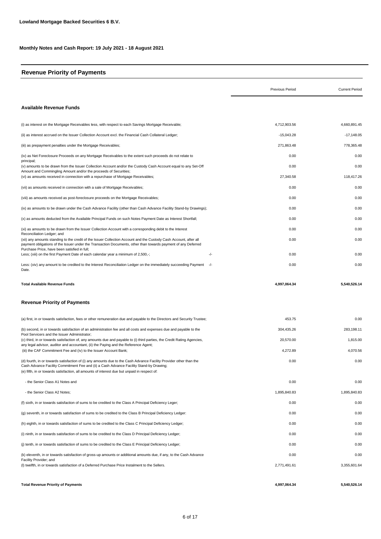# **Revenue Priority of Payments**

|                                                                                                                                                                                                                                                                                                               | Previous Period      | <b>Current Period</b> |
|---------------------------------------------------------------------------------------------------------------------------------------------------------------------------------------------------------------------------------------------------------------------------------------------------------------|----------------------|-----------------------|
| <b>Available Revenue Funds</b>                                                                                                                                                                                                                                                                                |                      |                       |
| (i) as interest on the Mortgage Receivables less, with respect to each Savings Mortgage Receivable;                                                                                                                                                                                                           | 4,712,903.56         | 4,660,891.45          |
| (ii) as interest accrued on the Issuer Collection Account excl. the Financial Cash Collateral Ledger;                                                                                                                                                                                                         | $-15,043.28$         | $-17,148.05$          |
| (iii) as prepayment penalties under the Mortgage Receivables;                                                                                                                                                                                                                                                 | 271,863.48           | 778,365.48            |
| (iv) as Net Foreclosure Proceeds on any Mortgage Receivables to the extent such proceeds do not relate to                                                                                                                                                                                                     | 0.00                 | 0.00                  |
| principal;<br>(v) amounts to be drawn from the Issuer Collection Account and/or the Custody Cash Account equal to any Set-Off                                                                                                                                                                                 | 0.00                 | 0.00                  |
| Amount and Commingling Amount and/or the proceeds of Securities;<br>(vi) as amounts received in connection with a repurchase of Mortgage Receivables;                                                                                                                                                         | 27,340.58            | 118,417.26            |
| (vii) as amounts received in connection with a sale of Mortgage Receivables;                                                                                                                                                                                                                                  | 0.00                 | 0.00                  |
| (viii) as amounts received as post-foreclosure proceeds on the Mortgage Receivables;                                                                                                                                                                                                                          | 0.00                 | 0.00                  |
| (ix) as amounts to be drawn under the Cash Advance Facility (other than Cash Advance Facility Stand-by Drawings);                                                                                                                                                                                             | 0.00                 | 0.00                  |
| (x) as amounts deducted from the Available Principal Funds on such Notes Payment Date as Interest Shortfall;                                                                                                                                                                                                  | 0.00                 | 0.00                  |
| (xi) as amounts to be drawn from the Issuer Collection Account with a corresponding debit to the Interest                                                                                                                                                                                                     | 0.00                 | 0.00                  |
| Reconciliation Ledger; and<br>(xii) any amounts standing to the credit of the Issuer Collection Account and the Custody Cash Account, after all<br>payment obligations of the Issuer under the Transaction Documents, other than towards payment of any Deferred                                              | 0.00                 | 0.00                  |
| Purchase Price, have been satisfied in full;<br>Less; (xiii) on the first Payment Date of each calendar year a minimum of 2,500,-;<br>-/-                                                                                                                                                                     | 0.00                 | 0.00                  |
| Less: (xiv) any amount to be credited to the Interest Reconciliation Ledger on the immediately succeeding Payment<br>-/-<br>Date.                                                                                                                                                                             | 0.00                 | 0.00                  |
| <b>Total Available Revenue Funds</b>                                                                                                                                                                                                                                                                          | 4,997,064.34         | 5,540,526.14          |
| <b>Revenue Priority of Payments</b>                                                                                                                                                                                                                                                                           |                      |                       |
| (a) first, in or towards satisfaction, fees or other remuneration due and payable to the Directors and Security Trustee;                                                                                                                                                                                      | 453.75               | 0.00                  |
| (b) second, in or towards satisfaction of an administration fee and all costs and expenses due and payable to the<br>Pool Servicers and the Issuer Administrator;                                                                                                                                             | 304,435.26           | 283,198.11            |
| (c) third, in or towards satisfaction of, any amounts due and payable to (i) third parties, the Credit Rating Agencies,                                                                                                                                                                                       | 20,570.00            | 1,815.00              |
| any legal advisor, auditor and accountant, (ii) the Paying and the Reference Agent;<br>(iii) the CAF Commitment Fee and (iv) to the Issuer Account Bank;                                                                                                                                                      | 4,272.89             | 4,070.56              |
| (d) fourth, in or towards satisfaction of (i) any amounts due to the Cash Advance Facility Provider other than the<br>Cash Advance Facility Commitment Fee and (ii) a Cash Advance Facility Stand-by Drawing;<br>(e) fifth, in or towards satisfaction, all amounts of interest due but unpaid in respect of: | 0.00                 | 0.00                  |
| - the Senior Class A1 Notes and                                                                                                                                                                                                                                                                               | 0.00                 | 0.00                  |
| - the Senior Class A2 Notes;                                                                                                                                                                                                                                                                                  | 1,895,840.83         | 1,895,840.83          |
| (f) sixth, in or towards satisfaction of sums to be credited to the Class A Principal Deficiency Leger;                                                                                                                                                                                                       | 0.00                 | 0.00                  |
| (q) seventh, in or towards satisfaction of sums to be credited to the Class B Principal Deficiency Ledger:                                                                                                                                                                                                    | 0.00                 | 0.00                  |
| (h) eighth, in or towards satisfaction of sums to be credited to the Class C Principal Deficiency Ledger;                                                                                                                                                                                                     | 0.00                 | 0.00                  |
| (i) ninth, in or towards satisfaction of sums to be credited to the Class D Principal Deficiency Ledger;                                                                                                                                                                                                      | 0.00                 | 0.00                  |
|                                                                                                                                                                                                                                                                                                               |                      | 0.00                  |
| (j) tenth, in or towards satisfaction of sums to be credited to the Class E Principal Deficiency Ledger;                                                                                                                                                                                                      | 0.00                 |                       |
| (k) eleventh, in or towards satisfaction of gross-up amounts or additional amounts due, if any, to the Cash Advance<br>Facility Provider; and<br>(I) twelfth, in or towards satisfaction of a Deferred Purchase Price Instalment to the Sellers.                                                              | 0.00<br>2,771,491.61 | 0.00<br>3,355,601.64  |
| <b>Total Revenue Priority of Payments</b>                                                                                                                                                                                                                                                                     | 4,997,064.34         | 5,540,526.14          |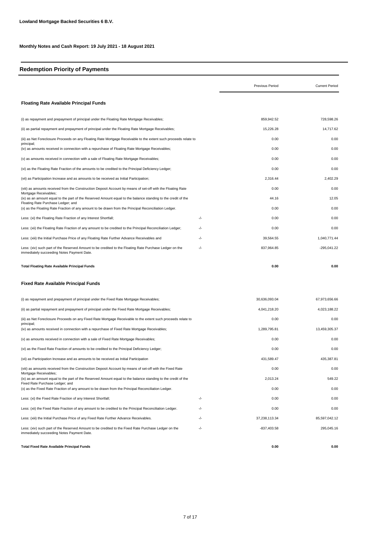#### **Redemption Priority of Payments**

|                                                                                                                                                                              |       | Previous Period | <b>Current Period</b> |
|------------------------------------------------------------------------------------------------------------------------------------------------------------------------------|-------|-----------------|-----------------------|
| <b>Floating Rate Available Principal Funds</b>                                                                                                                               |       |                 |                       |
| (i) as repayment and prepayment of principal under the Floating Rate Mortgage Receivables;                                                                                   |       | 859,942.52      | 728,598.26            |
| (ii) as partial repayment and prepayment of principal under the Floating Rate Mortgage Receivables;                                                                          |       | 15,226.28       | 14,717.62             |
| (iii) as Net Foreclosure Proceeds on any Floating Rate Mortgage Receivable to the extent such proceeds relate to<br>principal;                                               |       | 0.00            | 0.00                  |
| (iv) as amounts received in connection with a repurchase of Floating Rate Mortgage Receivables;                                                                              |       | 0.00            | 0.00                  |
| (v) as amounts received in connection with a sale of Floating Rate Mortgage Receivables;                                                                                     |       | 0.00            | 0.00                  |
| (vi) as the Floating Rate Fraction of the amounts to be credited to the Principal Deficiency Ledger;                                                                         |       | 0.00            | 0.00                  |
| (vii) as Participation Increase and as amounts to be received as Initial Participation;                                                                                      |       | 2,316.44        | 2,402.29              |
| (viii) as amounts received from the Construction Deposit Account by means of set-off with the Floating Rate                                                                  |       | 0.00            | 0.00                  |
| Mortgage Receivables;<br>(ix) as an amount equal to the part of the Reserved Amount equal to the balance standing to the credit of the<br>Floating Rate Purchase Ledger; and |       | 44.16           | 12.05                 |
| (x) as the Floating Rate Fraction of any amount to be drawn from the Principal Reconciliation Ledger.                                                                        |       | 0.00            | 0.00                  |
| Less: (xi) the Floating Rate Fraction of any Interest Shortfall;                                                                                                             | -/-   | 0.00            | 0.00                  |
| Less: (xii) the Floating Rate Fraction of any amount to be credited to the Principal Reconciliation Ledger;                                                                  | $-/-$ | 0.00            | 0.00                  |
| Less: (xiii) the Initial Purchase Price of any Floating Rate Further Advance Receivables and                                                                                 | $-/-$ | 39,564.55       | 1,040,771.44          |
| Less: (xiv) such part of the Reserved Amount to be credited to the Floating Rate Purchase Ledger on the<br>immediately succeeding Notes Payment Date.                        | -/-   | 837,964.85      | $-295,041.22$         |
| <b>Total Floating Rate Available Principal Funds</b>                                                                                                                         |       | 0.00            | 0.00                  |
| <b>Fixed Rate Available Principal Funds</b>                                                                                                                                  |       |                 |                       |
| (i) as repayment and prepayment of principal under the Fixed Rate Mortgage Receivables;                                                                                      |       | 30,636,093.04   | 67,973,656.66         |
| (ii) as partial repayment and prepayment of principal under the Fixed Rate Mortgage Receivables;                                                                             |       | 4,041,218.20    | 4,023,188.22          |
| (iii) as Net Foreclosure Proceeds on any Fixed Rate Mortgage Receivable to the extent such proceeds relate to<br>principal;                                                  |       | 0.00            | 0.00                  |
| (iv) as amounts received in connection with a repurchase of Fixed Rate Mortgage Receivables;                                                                                 |       | 1,289,795.81    | 13,459,305.37         |
| (v) as amounts received in connection with a sale of Fixed Rate Mortgage Receivables;                                                                                        |       | 0.00            | 0.00                  |
| (vi) as the Fixed Rate Fraction of amounts to be credited to the Principal Deficiency Ledger;                                                                                |       | 0.00            | 0.00                  |
| (vii) as Participation Increase and as amounts to be received as Initial Participation                                                                                       |       | 431,589.47      | 435,387.81            |

-/- -/- -/- -/- (ix) as an amount equal to the part of the Reserved Amount equal to the balance standing to the credit of the Fixed Rate Purchase Ledger; and 2,013.24 549.22 out the Fixed Rate Fraction of any amount to be drawn from the Principal Reconciliation Ledger. (x) as the Fixed Rate Fraction of any amount to be drawn from the Principal Reconciliation Ledger. (3) 0.00 0.00 0.00 0.00 0.0 (viii) as amounts received from the Construction Deposit Account by means of set-off with the Fixed Rate Mortgage Receivables; 0.00 0.00 Less: (xiii) the Initial Purchase Price of any Fixed Rate Further Advance Receivables. 37,238,113.34 85,238,113.34 85,597,042.12 Less: (xiv) such part of the Reserved Amount to be credited to the Fixed Rate Purchase Ledger on the immediately succeeding Notes Payment Date. -837,403.58 295,045.16 Less: (xi) the Fixed Rate Fraction of any Interest Shortfall; 0.00 0.00 Less: (xii) the Fixed Rate Fraction of any amount to be credited to the Principal Reconciliation Ledger. <br>
0.00 0.00 0.00 0.00 **Total Fixed Rate Available Principal Funds 0.00 0.00**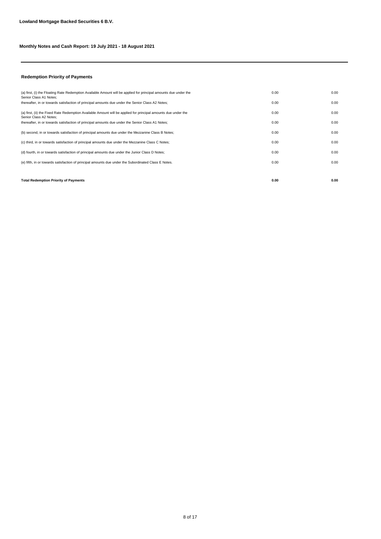#### **Redemption Priority of Payments**

| <b>Total Redemption Priority of Payments</b>                                                                                               | 0.00 | 0.00 |
|--------------------------------------------------------------------------------------------------------------------------------------------|------|------|
|                                                                                                                                            |      |      |
| (e) fifth, in or towards satisfaction of principal amounts due under the Subordinated Class E Notes.                                       | 0.00 | 0.00 |
| (d) fourth, in or towards satisfaction of principal amounts due under the Junior Class D Notes;                                            | 0.00 | 0.00 |
| (c) third, in or towards satisfaction of principal amounts due under the Mezzanine Class C Notes;                                          | 0.00 | 0.00 |
| (b) second, in or towards satisfaction of principal amounts due under the Mezzanine Class B Notes;                                         | 0.00 | 0.00 |
| thereafter, in or towards satisfaction of principal amounts due under the Senior Class A1 Notes;                                           | 0.00 | 0.00 |
| (a) first, (ii) the Fixed Rate Redemption Available Amount will be applied for principal amounts due under the<br>Senior Class A2 Notes:   | 0.00 | 0.00 |
| thereafter, in or towards satisfaction of principal amounts due under the Senior Class A2 Notes;                                           | 0.00 | 0.00 |
| (a) first, (i) the Floating Rate Redemption Available Amount will be applied for principal amounts due under the<br>Senior Class A1 Notes; | 0.00 | 0.00 |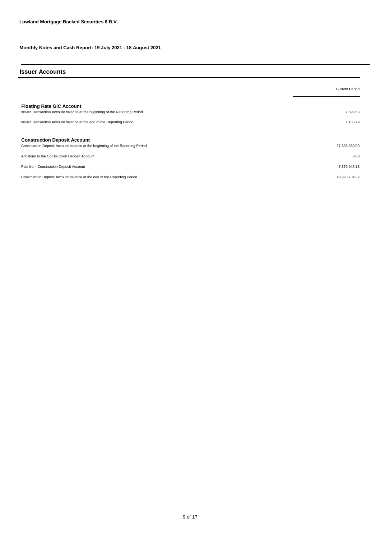#### **Issuer Accounts**

|                                                                                                                      | <b>Current Period</b> |
|----------------------------------------------------------------------------------------------------------------------|-----------------------|
| <b>Floating Rate GIC Account</b><br>Issuer Transaction Account balance at the beginning of the Reporting Period      | 7,598.53              |
| Issuer Transaction Account balance at the end of the Reporting Period                                                | 7,133.79              |
| <b>Construction Deposit Account</b><br>Construction Deposit Account balance at the beginning of the Reporting Period | 27,303,680.00         |
| Additions to the Construction Deposit Account                                                                        | 0.00                  |
| Paid from Construction Deposit Account                                                                               | $-7,379,945.18$       |
| Construction Deposit Account balance at the end of the Reporting Period                                              | 19,923,734.82         |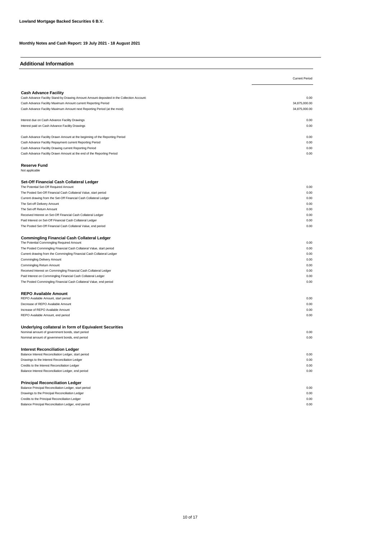| <b>Additional Information</b>                                                                    |                       |
|--------------------------------------------------------------------------------------------------|-----------------------|
|                                                                                                  | <b>Current Period</b> |
|                                                                                                  |                       |
| <b>Cash Advance Facility</b>                                                                     |                       |
| Cash Advance Facility Stand-by Drawing Amount Amount deposited in the Collection Account:        | 0.00                  |
| Cash Advance Facility Maximum Amount current Reporting Period                                    | 34,875,000.00         |
| Cash Advance Facility Maximum Amount next Reporting Period (at the most)                         | 34,875,000.00         |
| Interest due on Cash Advance Facility Drawings                                                   | 0.00                  |
| Interest paid on Cash Advance Facility Drawings                                                  | 0.00                  |
| Cash Advance Facility Drawn Amount at the beginning of the Reporting Period                      | 0.00                  |
| Cash Advance Facility Repayment current Reporting Period                                         | 0.00                  |
| Cash Advance Facility Drawing current Reporting Period                                           | 0.00                  |
| Cash Advance Facility Drawn Amount at the end of the Reporting Period                            | 0.00                  |
| <b>Reserve Fund</b><br>Not applicable                                                            |                       |
|                                                                                                  |                       |
| Set-Off Financial Cash Collateral Ledger                                                         |                       |
| The Potential Set-Off Required Amount                                                            | 0.00                  |
| The Posted Set-Off Financial Cash Collateral Value, start period                                 | 0.00                  |
| Current drawing from the Set-Off Financial Cash Collateral Ledger                                | 0.00                  |
| The Set-off Delivery Amount                                                                      | 0.00                  |
| The Set-off Return Amount                                                                        | 0.00                  |
| Received Interest on Set-Off Financial Cash Collateral Ledger                                    | 0.00                  |
| Paid Interest on Set-Off Financial Cash Collateral Ledger                                        | 0.00                  |
| The Posted Set-Off Financial Cash Collateral Value, end period                                   | 0.00                  |
| <b>Commingling Financial Cash Collateral Ledger</b><br>The Potential Commingling Required Amount | 0.00                  |
| The Posted Commingling Financial Cash Collateral Value, start period                             | 0.00                  |
| Current drawing from the Commingling Financial Cash Collateral Ledger                            | 0.00                  |
| Commingling Delivery Amount                                                                      | 0.00                  |
| Commingling Return Amount                                                                        | 0.00                  |
| Received Interest on Commingling Financial Cash Collateral Ledger                                | 0.00                  |
| Paid Interest on Commingling Financial Cash Collateral Ledger                                    | 0.00                  |
| The Posted Commingling Financial Cash Collateral Value, end period                               | 0.00                  |
| <b>REPO Available Amount</b>                                                                     |                       |
| REPO Available Amount, start period                                                              | 0.00                  |
| Decrease of REPO Available Amount                                                                | 0.00                  |
| Increase of REPO Available Amount                                                                | 0.00                  |
| REPO Available Amount, end period                                                                | 0.00                  |
| Underlying collateral in form of Equivalent Securities                                           |                       |
| Nominal amount of government bonds, start period                                                 | 0.00                  |
| Nominal amount of government bonds, end period                                                   | 0.00                  |
| <b>Interest Reconciliation Ledger</b><br>Balance Interest Reconciliation Ledger, start period    | 0.00                  |
| Drawings to the Interest Reconciliation Ledger                                                   | 0.00                  |
| Credits to the Interest Reconciliation Ledger                                                    | 0.00                  |
| Balance Interest Reconciliation Ledger, end period                                               | 0.00                  |
| <b>Principal Reconciliation Ledger</b>                                                           |                       |
| Balance Principal Reconciliation Ledger, start period                                            | 0.00                  |
| Drawings to the Principal Reconciliation Ledger                                                  | 0.00                  |
| Credits to the Principal Reconciliation Ledger                                                   | 0.00                  |
| Balance Principal Reconciliation Ledger, end period                                              | 0.00                  |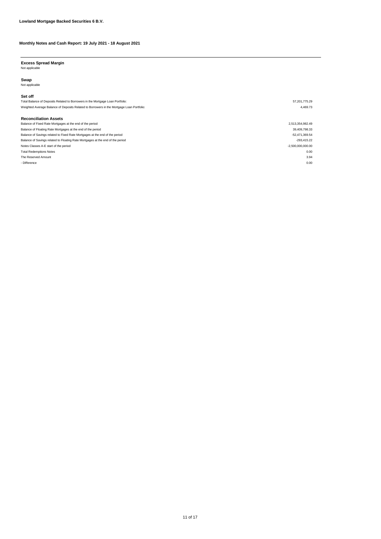**Excess Spread Margin** Not applicable

**Swap** Not applicable

#### Total Balance of Deposits Related to Borrowers in the Mortgage Loan Portfolio: 57,201,775.29 Weighted Average Balance of Deposits Related to Borrowers in the Mortgage Loan Portfolio: 4,469.73 **Set off** Balance of Fixed Rate Mortgages at the end of the period 2,513,354,982.49 Balance of Floating Rate Mortgages at the end of the period 39,409,798.33 **Reconciliation Assets** Notes Classes A-E start of the period<br>Total Redemptions Notes -2,500,000,000.00<br>Total Redemptions Notes -0.00 Total Redemptions Notes 0.000<br>The Reserved Amount 2.94 Balance of Savings related to Fixed Rate Mortgages at the end of the period -52,471,369.54 Balance of Savings related to Floating Rate Mortgages at the end of the period -293,415.22 The Reserved Amount - Difference 0.000 0.000 0.000 0.000 0.000 0.000 0.000 0.000 0.000 0.000 0.000 0.000 0.000 0.000 0.000 0.000 0.000 0.000 0.000 0.000 0.000 0.000 0.000 0.000 0.000 0.000 0.000 0.000 0.000 0.000 0.000 0.000 0.000 0.000 0.000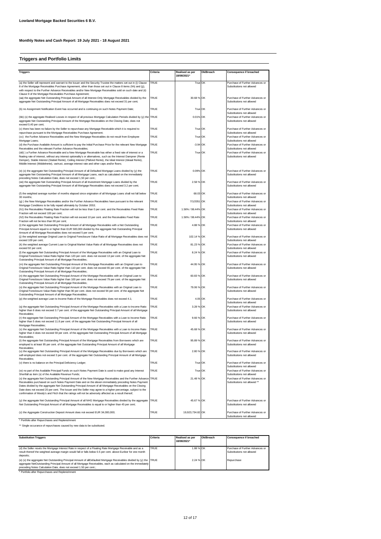## **Triggers and Portfolio Limits**

| <b>Triggers</b>                                                                                                                                                                                                                                                                                                                                                                                                                                   | Criteria                   | Realised as per       | Ok/Breach | Consequence if breached                                                                         |
|---------------------------------------------------------------------------------------------------------------------------------------------------------------------------------------------------------------------------------------------------------------------------------------------------------------------------------------------------------------------------------------------------------------------------------------------------|----------------------------|-----------------------|-----------|-------------------------------------------------------------------------------------------------|
|                                                                                                                                                                                                                                                                                                                                                                                                                                                   |                            | 18/08/2021*           |           |                                                                                                 |
| (a) the Seller will represent and warrant to the Issuer and the Security Trustee the matters set out in (i) Clause<br>8 of the Mortgage Receivables Purchase Agreement, other than those set out in Clause 8 items (hh) and (jj),<br>with respect to the Further Advance Receivables and/or New Mortgage Receivables sold on such date and (ii)<br>Clause 9 of the Mortgage Receivables Purchase Agreement;                                       | <b>TRUE</b>                | True OK               |           | Purchase of Further Advances or<br>Substitutions not allowed                                    |
| (aa) the aggregate Net Outstanding Principal Amount of all Interest-Only Mortgage Receivables divided by the<br>aggregate Net Outstanding Principal Amount of all Mortgage Receivables does not exceed 31 per cent;                                                                                                                                                                                                                               | TRUE                       | 30.68 % OK            |           | Purchase of Further Advances or<br>Substitutions not allowed                                    |
| (b) no Assignment Notification Event has occurred and is continuing on such Notes Payment Date;                                                                                                                                                                                                                                                                                                                                                   | TRUE                       | True OK               |           | Purchase of Further Advances or<br>Substitutions not allowed                                    |
| (bb) (x) the aggregate Realised Losses in respect of all previous Mortgage Calculation Periods divided by (y) the TRUE<br>aggregate Net Outstanding Principal Amount of the Mortgage Receivables on the Closing Date, does not<br>exceed 0,40 per cent;                                                                                                                                                                                           |                            | 0.01% OK              |           | Purchase of Further Advances or<br>Substitutions not allowed                                    |
| (c) there has been no failure by the Seller to repurchase any Mortgage Receivable which it is required to<br>repurchase pursuant to the Mortgage Receivables Purchase Agreement;                                                                                                                                                                                                                                                                  | <b>TRUE</b>                | True OK               |           | Purchase of Further Advances or<br>Substitutions not allowed                                    |
| (cc) the Further Advance Receivables and the New Mortgage Receivables do not result from Employee<br>Mortgage Loans:                                                                                                                                                                                                                                                                                                                              | TRUE                       | True OK               |           | Purchase of Further Advances or<br>Substitutions not allowed                                    |
| (d) the Purchase Available Amount is sufficient to pay the Initial Purchase Price for the relevant New Mortgage<br>Receivables and the relevant Further Advance Receivables:                                                                                                                                                                                                                                                                      | <b>TRUE</b><br><b>TRUE</b> | $-3.94$ OK<br>True OK |           | Purchase of Further Advances or<br>Substitutions not allowed<br>Purchase of Further Advances or |
| (dd)) a Further Advance Receivable and a New Mortgage Receivable has either a fixed rate of interest or a<br>floating rate of interest, without any interest optionality's or alternatives, such as the Interest Dampner (Rente<br>Demper), Stable Interest (Stabiel Rente), Ceiling Interest (Plafond Rente), the Ideal Interest (Ideaal Rente),<br>Middle Interest (Middelrente), varirust, average interest rate and other caps and/or floors; |                            |                       |           | Substitutions not allowed                                                                       |
| (e) (x) the aggregate Net Outstanding Principal Amount of all Defaulted Mortgage Loans divided by (y) the<br>aggregate Net Outstanding Principal Amount of all Mortgage Loans, each as calculated on the immediately<br>preceding Notes Calculation Date, does not exceed 1,50 per cent.;                                                                                                                                                         | <b>TRUE</b>                | 0.09% OK              |           | Purchase of Further Advances or<br>Substitutions not allowed                                    |
| (ee) the aggregate Net Outstanding Principal Amount of all Investment Mortgage Loans divided by the<br>aggregate Net Outstanding Principal Amount of all Mortgage Receivables does not exceed 3.2 per cent;                                                                                                                                                                                                                                       | TRUE                       | 2.58 % OK             |           | Purchase of Further Advances or<br>Substitutions not allowed                                    |
| (f) the weighted average number of months elapsed since origination of all Mortgage Loans shall not fall below<br>30 months;                                                                                                                                                                                                                                                                                                                      | <b>TRUE</b>                | 68.03 OK              |           | Purchase of Further Advances or<br>Substitutions not allowed                                    |
| (g) ) the New Mortgage Receivables and/or the Further Advance Receivables have pursuant to the relevant<br>Mortgage Conditions to be fully repaid ultimately by October 2053;                                                                                                                                                                                                                                                                     | <b>TRUE</b>                | 7/1/2051 OK           |           | Purchase of Further Advances or<br>Substitutions not allowed                                    |
| (h1) the Receivables Floating Rate Fraction will not be less than 0 per cent. and the Receivables Fixed Rate<br>Fraction will not exceed 100 per cent;                                                                                                                                                                                                                                                                                            | TRUE                       | 1.56% / 98.44% OK     |           | Purchase of Further Advances or<br>Substitutions not allowed                                    |
| (h2) the Receivables Floating Rate Fraction will not exceed 10 per cent. and the Receivables Fixed Rate<br>Fraction will not be less than 90 per cent;                                                                                                                                                                                                                                                                                            | <b>TRUE</b>                | 1.56% / 98.44% OK     |           | Purchase of Further Advances or<br>Substitutions not allowed                                    |
| (i) the aggregate Net Outstanding Principal Amount of all Mortgage Receivables with a Net Outstanding<br>Principal Amount equal to or higher than EUR 500,000 divided by the aggregate Net Outstanding Principal<br>Amount of all Mortgage Receivables does not exceed 5 per cent;                                                                                                                                                                | TRUE                       | 4.88 % OK             |           | Purchase of Further Advances or<br>Substitutions not allowed                                    |
| (j) the weighted average Original Loan to Original Foreclosure Value Ratio of all Mortgage Receivables does not<br>exceed 109 per cent;                                                                                                                                                                                                                                                                                                           | <b>TRUE</b>                | 102.14 % OK           |           | Purchase of Further Advances or<br>Substitutions not allowed                                    |
| (k) the weighted average Current Loan to Original Market Value Ratio of all Mortgage Receivables does not<br>exceed 92 per cent;                                                                                                                                                                                                                                                                                                                  | <b>TRUE</b>                | 81.23 % OK            |           | Purchase of Further Advances or<br>Substitutions not allowed                                    |
| (I) the aggregate Net Outstanding Principal Amount of the Mortgage Receivables with an Original Loan to<br>Original Foreclosure Value Ratio higher than 120 per cent. does not exceed 13 per cent. of the aggregate Net<br>Outstanding Principal Amount of all Mortgage Receivables;                                                                                                                                                              | TRUE                       | 8.24 % OK             |           | Purchase of Further Advances or<br>Substitutions not allowed                                    |
| (m) the aggregate Net Outstanding Principal Amount of the Mortgage Receivables with an Original Loan to<br>Original Foreclosure Value Ratio higher than 110 per cent. does not exceed 65 per cent. of the aggregate Net<br>Outstanding Principal Amount of all Mortgage Receivables;                                                                                                                                                              | TRUE                       | 44.95 % OK            |           | Purchase of Further Advances or<br>Substitutions not allowed                                    |
| (n) the aggregate Net Outstanding Principal Amount of the Mortgage Receivables with an Original Loan to<br>Original Foreclosure Value Ratio higher than 100 per cent. does not exceed 79 per cent. of the aggregate Net<br>Outstanding Principal Amount of all Mortgage Receivables;                                                                                                                                                              | TRUE                       | 60.83 % OK            |           | Purchase of Further Advances or<br>Substitutions not allowed                                    |
| (o) the aggregate Net Outstanding Principal Amount of the Mortgage Receivables with an Original Loan to<br>Original Foreclosure Value Ratio higher than 90 per cent. does not exceed 94 per cent. of the aggregate Net<br>Outstanding Principal Amount of all Mortgage Receivables;                                                                                                                                                               | TRUE                       | 79.06 % OK            |           | Purchase of Further Advances or<br>Substitutions not allowed                                    |
| (p) the weighted average Loan to Income Ratio of the Mortgage Receivables does not exceed 4.1;                                                                                                                                                                                                                                                                                                                                                    | TRUE                       | 4.05 OK               |           | Purchase of Further Advances or<br>Substitutions not allowed                                    |
| (q) the aggregate Net Outstanding Principal Amount of the Mortgage Receivables with a Loan to Income Ratio<br>higher than 6 does not exceed 3.7 per cent. of the aggregate Net Outstanding Principal Amount of all Mortgage<br>Receivables:                                                                                                                                                                                                       | TRUE                       | 3.28 % OK             |           | Purchase of Further Advances or<br>Substitutions not allowed                                    |
| (r) the aggregate Net Outstanding Principal Amount of the Mortgage Receivables with a Loan to Income Ratio<br>higher than 5 does not exceed 11.8 per cent. of the aggregate Net Outstanding Principal Amount of all<br>Mortgage Receivables;                                                                                                                                                                                                      | <b>TRUE</b>                | 9.66 % OK             |           | Purchase of Further Advances or<br>Substitutions not allowed                                    |
| (s) the aggregate Net Outstanding Principal Amount of the Mortgage Receivables with a Loan to Income Ratio<br>higher than 4 does not exceed 59 per cent. of the aggregate Net Outstanding Principal Amount of all Mortgage<br>Receivables:                                                                                                                                                                                                        | <b>TRUE</b>                | 45.68 % OK            |           | Purchase of Further Advances or<br>Substitutions not allowed                                    |
| (t) the aggregate Net Outstanding Principal Amount of the Mortgage Receivables from Borrowers which are<br>employed is at least 95 per cent. of the aggregate Net Outstanding Principal Amount of all Mortgage<br>Receivables:                                                                                                                                                                                                                    | TRUE                       | 95.89 % OK            |           | Purchase of Further Advances or<br>Substitutions not allowed                                    |
| (u) the aggregate Net Outstanding Principal Amount of the Mortgage Receivables due by Borrowers which are TRUE<br>self-employed does not exceed 3 per cent. of the aggregate Net Outstanding Principal Amount of all Mortgage<br>Receivables:                                                                                                                                                                                                     |                            | 2.80 % OK             |           | Purchase of Further Advances or<br>Substitutions not allowed                                    |
| (v) there is no balance on the Principal Deficiency Ledger;                                                                                                                                                                                                                                                                                                                                                                                       | TRUE                       | True OK               |           | Purchase of Further Advances or<br>Substitutions not allowed                                    |
| (w) no part of the Available Principal Funds on such Notes Payment Date is used to make good any Interest<br>Shortfall as item (x) of the Available Revenue Funds;                                                                                                                                                                                                                                                                                | TRUF                       | True OK               |           | Purchase of Further Advances or<br>Substitutions not allowed                                    |
| (x) the aggregate Net Outstanding Principal Amount of the New Mortgage Receivables and the Further Advance TRUE<br>Receivables purchased on such Notes Payment Date and on the eleven immediately preceding Notes Payment                                                                                                                                                                                                                         |                            | 21.48 % OK            |           | Purchase of Further Advances or<br>Substitutions not allowed **                                 |
| Dates divided by the aggregate Net Outstanding Principal Amount of all Mortgage Receivables on the Closing<br>Date does not exceed 20 per cent. The Issuer and the Seller may agree to a higher percentage, subject to the<br>confirmation of Moody's and Fitch that the ratings will not be adversely affected as a result thereof;                                                                                                              |                            |                       |           |                                                                                                 |
| (y) the aggregate Net Outstanding Principal Amount of all NHG Mortgage Receivables divided by the aggregate<br>Net Outstanding Principal Amount of all Mortgage Receivables is equal to or higher than 45 per cent;                                                                                                                                                                                                                               | <b>TRUE</b>                | 45.67 % OK            |           | Purchase of Further Advances or<br>Substitutions not allowed                                    |
| (z) the Aggregate Construction Deposit Amount does not exceed EUR 34,000,000;                                                                                                                                                                                                                                                                                                                                                                     | TRUE                       | 19,923,734.82 OK      |           | Purchase of Further Advances or<br>Substitutions not allowed                                    |
| * Portfolio after Repurchases and Replenishment                                                                                                                                                                                                                                                                                                                                                                                                   |                            |                       |           |                                                                                                 |

\*\* Single occurance of repurchases caused by new data to be substituted.

| <b>Substitution Triggers</b>                                                                                        | Criteria    | Realised as per<br>18/08/2021* | Ok/Breach | <b>Consequence if breached</b>  |
|---------------------------------------------------------------------------------------------------------------------|-------------|--------------------------------|-----------|---------------------------------|
| (d) the Seller resets the Mortgage Interest Rate in respect of a Floating Rate Mortgage Receivable and as a         | <b>TRUE</b> | 1.88 % OK                      |           | Purchase of Further Advances or |
| result thereof the weighted average margin would fall or falls below 0.5 per cent. above Euribor for one month      |             |                                |           | Substitutions not allowed       |
| deposits:                                                                                                           |             |                                |           |                                 |
| (e) (x) the aggregate Net Outstanding Principal Amount of allDefaulted Mortgage Receivables divided by (y) the TRUE |             | 2.24 % OK                      |           | Repurchase                      |
| aggregate NetOutstanding Principal Amount of all Mortgage Receivables, each as calculated on the immediately        |             |                                |           |                                 |
| preceding Notes Calculation Date, does not exceed 1.50 per cent.:                                                   |             |                                |           |                                 |
| * Portfolio after Repurchases and Replenishment                                                                     |             |                                |           |                                 |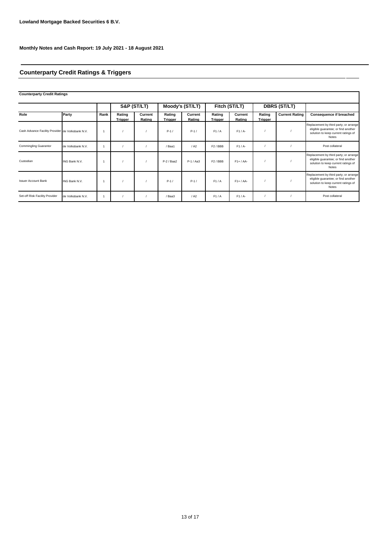# **Counterparty Credit Ratings & Triggers**

# **Counterparty Credit Ratings**

|                                                  |                   |      | S&P (ST/LT)       |                   | Moody's (ST/LT)          |                   | Fitch (ST/LT)        |                   | <b>DBRS (ST/LT)</b> |                       |                                                                                                                               |
|--------------------------------------------------|-------------------|------|-------------------|-------------------|--------------------------|-------------------|----------------------|-------------------|---------------------|-----------------------|-------------------------------------------------------------------------------------------------------------------------------|
| Role                                             | Party             | Rank | Rating<br>Trigger | Current<br>Rating | Rating<br><b>Trigger</b> | Current<br>Rating | Rating<br>Trigger    | Current<br>Rating | Rating<br>Trigger   | <b>Current Rating</b> | <b>Consequence if breached</b>                                                                                                |
| Cash Advance Facility Provider de Volksbank N.V. |                   |      |                   |                   | $P-1/$                   | $P-1/$            | F1/A                 | $F1/A-$           |                     |                       | Replacement by third party; or arrange<br>eligible quarantee; or find another<br>solution to keep current ratings of<br>Notes |
| <b>Commingling Guarantor</b>                     | de Volksbank N.V. |      |                   |                   | /Baa1                    | / A2              | F <sub>2</sub> /BBB  | $F1/A-$           |                     |                       | Post collateral                                                                                                               |
| Custodian                                        | ING Bank N.V.     |      |                   |                   | $P-2$ / Baa2             | $P-1/AA3$         | F <sub>2</sub> / BBB | $F1+ / AA-$       |                     |                       | Replacement by third party; or arrange<br>eligible guarantee; or find another<br>solution to keep current ratings of<br>Notes |
| <b>Issuer Account Bank</b>                       | ING Bank N.V.     |      |                   |                   | $P - 1/$                 | $P-1/$            | F1/A                 | $F1+ / AA-$       |                     |                       | Replacement by third party; or arrange<br>eligible guarantee; or find another<br>solution to keep current ratings of<br>Notes |
| Set-off Risk Facility Provider                   | de Volksbank N.V. |      |                   |                   | / Baa3                   | / A2              | F1/A                 | $F1/A-$           |                     |                       | Post collateral                                                                                                               |

⅂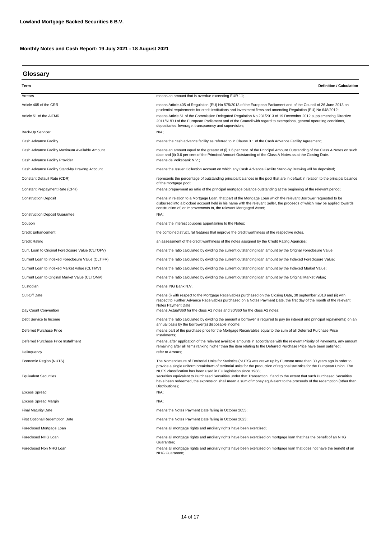# **Glossary**

| Term                                               | <b>Definition / Calculation</b>                                                                                                                                                                                                                                                                                                                                                                                 |  |  |  |
|----------------------------------------------------|-----------------------------------------------------------------------------------------------------------------------------------------------------------------------------------------------------------------------------------------------------------------------------------------------------------------------------------------------------------------------------------------------------------------|--|--|--|
| Arrears                                            | means an amount that is overdue exceeding EUR 11;                                                                                                                                                                                                                                                                                                                                                               |  |  |  |
| Article 405 of the CRR                             | means Article 405 of Regulation (EU) No 575/2013 of the European Parliament and of the Council of 26 June 2013 on                                                                                                                                                                                                                                                                                               |  |  |  |
| Article 51 of the AIFMR                            | prudential requirements for credit institutions and investment firms and amending Regulation (EU) No 648/2012;<br>means Article 51 of the Commission Delegated Regulation No 231/2013 of 19 December 2012 supplementing Directive<br>2011/61/EU of the European Parliament and of the Council with regard to exemptions, general operating conditions,<br>depositaries, leverage, transparency and supervision; |  |  |  |
| Back-Up Servicer                                   | $N/A$ ;                                                                                                                                                                                                                                                                                                                                                                                                         |  |  |  |
| Cash Advance Facility                              | means the cash advance facility as referred to in Clause 3.1 of the Cash Advance Facility Agreement;                                                                                                                                                                                                                                                                                                            |  |  |  |
| Cash Advance Facility Maximum Available Amount     | means an amount equal to the greater of (i) 1.6 per cent. of the Principal Amount Outstanding of the Class A Notes on such<br>date and (ii) 0.6 per cent of the Principal Amount Outstanding of the Class A Notes as at the Closing Date.                                                                                                                                                                       |  |  |  |
| Cash Advance Facility Provider                     | means de Volksbank N.V.;                                                                                                                                                                                                                                                                                                                                                                                        |  |  |  |
| Cash Advance Facility Stand-by Drawing Account     | means the Issuer Collection Account on which any Cash Advance Facility Stand-by Drawing will be deposited;                                                                                                                                                                                                                                                                                                      |  |  |  |
| Constant Default Rate (CDR)                        | represents the percentage of outstanding principal balances in the pool that are in default in relation to the principal balance<br>of the mortgage pool;                                                                                                                                                                                                                                                       |  |  |  |
| Constant Prepayment Rate (CPR)                     | means prepayment as ratio of the principal mortgage balance outstanding at the beginning of the relevant period;                                                                                                                                                                                                                                                                                                |  |  |  |
| <b>Construction Deposit</b>                        | means in relation to a Mortgage Loan, that part of the Mortgage Loan which the relevant Borrower requested to be<br>disbursed into a blocked account held in his name with the relevant Seller, the proceeds of which may be applied towards<br>construction of, or improvements to, the relevant Mortgaged Asset;                                                                                              |  |  |  |
| <b>Construction Deposit Guarantee</b>              | N/A;                                                                                                                                                                                                                                                                                                                                                                                                            |  |  |  |
| Coupon                                             | means the interest coupons appertaining to the Notes;                                                                                                                                                                                                                                                                                                                                                           |  |  |  |
| Credit Enhancement                                 | the combined structural features that improve the credit worthiness of the respective notes.                                                                                                                                                                                                                                                                                                                    |  |  |  |
| <b>Credit Rating</b>                               | an assessment of the credit worthiness of the notes assigned by the Credit Rating Agencies;                                                                                                                                                                                                                                                                                                                     |  |  |  |
| Curr. Loan to Original Foreclosure Value (CLTOFV)  | means the ratio calculated by dividing the current outstanding loan amount by the Orignal Foreclosure Value;                                                                                                                                                                                                                                                                                                    |  |  |  |
| Current Loan to Indexed Foreclosure Value (CLTIFV) | means the ratio calculated by dividing the current outstanding loan amount by the Indexed Foreclosure Value;                                                                                                                                                                                                                                                                                                    |  |  |  |
| Current Loan to Indexed Market Value (CLTIMV)      | means the ratio calculated by dividing the current outstanding loan amount by the Indexed Market Value;                                                                                                                                                                                                                                                                                                         |  |  |  |
| Current Loan to Original Market Value (CLTOMV)     | means the ratio calculated by dividing the current outstanding loan amount by the Original Market Value;                                                                                                                                                                                                                                                                                                        |  |  |  |
| Custodian                                          | means ING Bank N.V.                                                                                                                                                                                                                                                                                                                                                                                             |  |  |  |
| Cut-Off Date                                       | means (i) with respect to the Mortgage Receivables purchased on the Closing Date, 30 september 2018 and (ii) with<br>respect to Further Advance Receivables purchased on a Notes Payment Date, the first day of the month of the relevant<br>Notes Payment Date;                                                                                                                                                |  |  |  |
| Day Count Convention                               | means Actual/360 for the class A1 notes and 30/360 for the class A2 notes;                                                                                                                                                                                                                                                                                                                                      |  |  |  |
| Debt Service to Income                             | means the ratio calculated by dividing the amount a borrower is required to pay (in interest and principal repayments) on an<br>annual basis by the borrower(s) disposable income;                                                                                                                                                                                                                              |  |  |  |
| Deferred Purchase Price                            | means part of the purchase price for the Mortgage Receivables equal to the sum of all Deferred Purchase Price<br>Instalments;                                                                                                                                                                                                                                                                                   |  |  |  |
| Deferred Purchase Price Installment                | means, after application of the relevant available amounts in accordance with the relevant Priority of Payments, any amount<br>remaining after all items ranking higher than the item relating to the Deferred Purchase Price have been satisfied;                                                                                                                                                              |  |  |  |
| Delinquency                                        | refer to Arrears;                                                                                                                                                                                                                                                                                                                                                                                               |  |  |  |
| Economic Region (NUTS)                             | The Nomenclature of Territorial Units for Statistics (NUTS) was drawn up by Eurostat more than 30 years ago in order to<br>provide a single uniform breakdown of territorial units for the production of regional statistics for the European Union. The<br>NUTS classification has been used in EU legislation since 1988;                                                                                     |  |  |  |
| <b>Equivalent Securities</b>                       | securities equivalent to Purchased Securities under that Transaction. If and to the extent that such Purchased Securities<br>have been redeemed, the expression shall mean a sum of money equivalent to the proceeds of the redemption (other than<br>Distributions);                                                                                                                                           |  |  |  |
| <b>Excess Spread</b>                               | N/A;                                                                                                                                                                                                                                                                                                                                                                                                            |  |  |  |
| <b>Excess Spread Margin</b>                        | N/A;                                                                                                                                                                                                                                                                                                                                                                                                            |  |  |  |
| <b>Final Maturity Date</b>                         | means the Notes Payment Date falling in October 2055;                                                                                                                                                                                                                                                                                                                                                           |  |  |  |
| <b>First Optional Redemption Date</b>              | means the Notes Payment Date falling in October 2023;                                                                                                                                                                                                                                                                                                                                                           |  |  |  |
| Foreclosed Mortgage Loan                           | means all mortgage rights and ancillary rights have been exercised;                                                                                                                                                                                                                                                                                                                                             |  |  |  |
| Foreclosed NHG Loan                                | means all mortgage rights and ancillary rights have been exercised on mortgage loan that has the benefit of an NHG                                                                                                                                                                                                                                                                                              |  |  |  |
| Foreclosed Non NHG Loan                            | Guarantee;<br>means all mortgage rights and ancillary rights have been exercised on mortgage loan that does not have the benefit of an<br>NHG Guarantee;                                                                                                                                                                                                                                                        |  |  |  |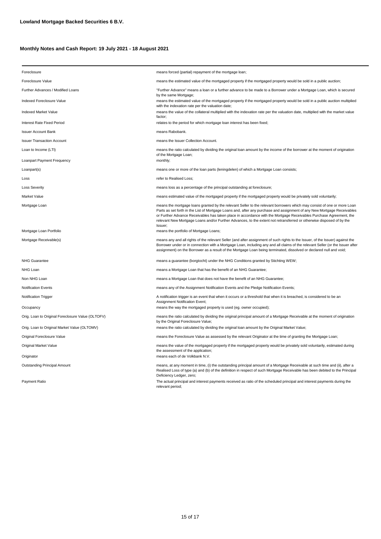| Foreclosure                                       | means forced (partial) repayment of the mortgage loan;                                                                                                                                                                                                                                                                                                                                                                                                                                                      |  |  |  |  |
|---------------------------------------------------|-------------------------------------------------------------------------------------------------------------------------------------------------------------------------------------------------------------------------------------------------------------------------------------------------------------------------------------------------------------------------------------------------------------------------------------------------------------------------------------------------------------|--|--|--|--|
| Foreclosure Value                                 | means the estimated value of the mortgaged property if the mortgaged property would be sold in a public auction;                                                                                                                                                                                                                                                                                                                                                                                            |  |  |  |  |
| Further Advances / Modified Loans                 | "Further Advance" means a loan or a further advance to be made to a Borrower under a Mortgage Loan, which is secured<br>by the same Mortgage;                                                                                                                                                                                                                                                                                                                                                               |  |  |  |  |
| Indexed Foreclosure Value                         | means the estimated value of the mortgaged property if the mortgaged property would be sold in a public auction multiplied<br>with the indexation rate per the valuation date;                                                                                                                                                                                                                                                                                                                              |  |  |  |  |
| <b>Indexed Market Value</b>                       | means the value of the collateral multiplied with the indexation rate per the valuation date, multiplied with the market value<br>factor:                                                                                                                                                                                                                                                                                                                                                                   |  |  |  |  |
| Interest Rate Fixed Period                        | relates to the period for which mortgage loan interest has been fixed;                                                                                                                                                                                                                                                                                                                                                                                                                                      |  |  |  |  |
| <b>Issuer Account Bank</b>                        | means Rabobank.                                                                                                                                                                                                                                                                                                                                                                                                                                                                                             |  |  |  |  |
| <b>Issuer Transaction Account</b>                 | means the Issuer Collection Account.                                                                                                                                                                                                                                                                                                                                                                                                                                                                        |  |  |  |  |
| Loan to Income (LTI)                              | means the ratio calculated by dividing the original loan amount by the income of the borrower at the moment of origination<br>of the Mortgage Loan;                                                                                                                                                                                                                                                                                                                                                         |  |  |  |  |
| Loanpart Payment Frequency                        | monthly;                                                                                                                                                                                                                                                                                                                                                                                                                                                                                                    |  |  |  |  |
| Loanpart(s)                                       | means one or more of the loan parts (leningdelen) of which a Mortgage Loan consists;                                                                                                                                                                                                                                                                                                                                                                                                                        |  |  |  |  |
| Loss                                              | refer to Realised Loss;                                                                                                                                                                                                                                                                                                                                                                                                                                                                                     |  |  |  |  |
| <b>Loss Severity</b>                              | means loss as a percentage of the principal outstanding at foreclosure;                                                                                                                                                                                                                                                                                                                                                                                                                                     |  |  |  |  |
| Market Value                                      | means estimated value of the mortgaged property if the mortgaged property would be privately sold voluntarily;                                                                                                                                                                                                                                                                                                                                                                                              |  |  |  |  |
| Mortgage Loan                                     | means the mortgage loans granted by the relevant Seller to the relevant borrowers which may consist of one or more Loan<br>Parts as set forth in the List of Mortgage Loans and, after any purchase and assignment of any New Mortgage Receivables<br>or Further Advance Receivables has taken place in accordance with the Mortgage Receivables Purchase Agreement, the<br>relevant New Mortgage Loans and/or Further Advances, to the extent not retransferred or otherwise disposed of by the<br>Issuer; |  |  |  |  |
| Mortgage Loan Portfolio                           | means the portfolio of Mortgage Loans;                                                                                                                                                                                                                                                                                                                                                                                                                                                                      |  |  |  |  |
| Mortgage Receivable(s)                            | means any and all rights of the relevant Seller (and after assignment of such rights to the Issuer, of the Issuer) against the<br>Borrower under or in connection with a Mortgage Loan, including any and all claims of the relevant Seller (or the Issuer after<br>assignment) on the Borrower as a result of the Mortgage Loan being terminated, dissolved or declared null and void;                                                                                                                     |  |  |  |  |
| <b>NHG Guarantee</b>                              | means a guarantee (borgtocht) under the NHG Conditions granted by Stichting WEW;                                                                                                                                                                                                                                                                                                                                                                                                                            |  |  |  |  |
| NHG Loan                                          | means a Mortgage Loan that has the benefit of an NHG Guarantee;                                                                                                                                                                                                                                                                                                                                                                                                                                             |  |  |  |  |
| Non NHG Loan                                      | means a Mortgage Loan that does not have the benefit of an NHG Guarantee;                                                                                                                                                                                                                                                                                                                                                                                                                                   |  |  |  |  |
| Notification Events                               | means any of the Assignment Notification Events and the Pledge Notification Events;                                                                                                                                                                                                                                                                                                                                                                                                                         |  |  |  |  |
| Notification Trigger                              | A notification trigger is an event that when it occurs or a threshold that when it is breached, is considered to be an<br>Assignment Notification Event;                                                                                                                                                                                                                                                                                                                                                    |  |  |  |  |
| Occupancy                                         | means the way the mortgaged property is used (eg. owner occupied);                                                                                                                                                                                                                                                                                                                                                                                                                                          |  |  |  |  |
| Orig. Loan to Original Foreclosure Value (OLTOFV) | means the ratio calculated by dividing the original principal amount of a Mortgage Receivable at the moment of origination<br>by the Original Foreclosure Value;                                                                                                                                                                                                                                                                                                                                            |  |  |  |  |
| Orig. Loan to Original Market Value (OLTOMV)      | means the ratio calculated by dividing the original loan amount by the Original Market Value;                                                                                                                                                                                                                                                                                                                                                                                                               |  |  |  |  |
| Original Foreclosure Value                        | means the Foreclosure Value as assessed by the relevant Originator at the time of granting the Mortgage Loan;                                                                                                                                                                                                                                                                                                                                                                                               |  |  |  |  |
| <b>Original Market Value</b>                      | means the value of the mortgaged property if the mortgaged property would be privately sold voluntarily, estimated during<br>the assessment of the application;                                                                                                                                                                                                                                                                                                                                             |  |  |  |  |
| Originator                                        | means each of de Volkbank N.V.                                                                                                                                                                                                                                                                                                                                                                                                                                                                              |  |  |  |  |
| Outstanding Principal Amount                      | means, at any moment in time, (i) the outstanding principal amount of a Mortgage Receivable at such time and (ii), after a<br>Realised Loss of type (a) and (b) of the definition in respect of such Mortgage Receivable has been debited to the Principal<br>Deficiency Ledger, zero;                                                                                                                                                                                                                      |  |  |  |  |
| Payment Ratio                                     | The actual principal and interest payments received as ratio of the scheduled principal and interest payments during the<br>relevant period;                                                                                                                                                                                                                                                                                                                                                                |  |  |  |  |
|                                                   |                                                                                                                                                                                                                                                                                                                                                                                                                                                                                                             |  |  |  |  |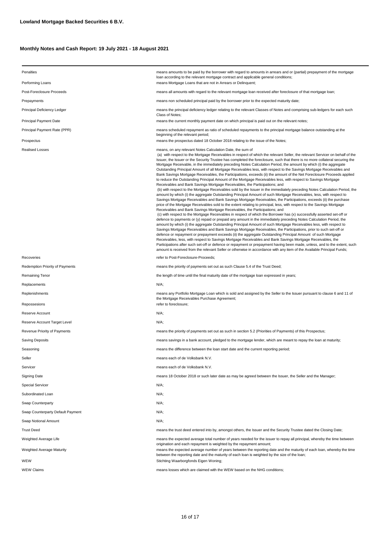| Penalties                         | means amounts to be paid by the borrower with regard to amounts in arrears and or (partial) prepayment of the mortgage<br>loan according to the relevant mortgage contract and applicable general conditions;                                                                                                                                                                                                                                                                                                                                                                                                                                                                                                                                                                                                                                                                                                                                                                                                                                                                                                                                                                                                                                                                                                                                                                                                                                                                                                                                                                                                                                                                                                                                                                                                                                                                                                                                                                                                                                                                                                                                                                                                                                                                                                                                                                                                                                                |  |  |  |  |
|-----------------------------------|--------------------------------------------------------------------------------------------------------------------------------------------------------------------------------------------------------------------------------------------------------------------------------------------------------------------------------------------------------------------------------------------------------------------------------------------------------------------------------------------------------------------------------------------------------------------------------------------------------------------------------------------------------------------------------------------------------------------------------------------------------------------------------------------------------------------------------------------------------------------------------------------------------------------------------------------------------------------------------------------------------------------------------------------------------------------------------------------------------------------------------------------------------------------------------------------------------------------------------------------------------------------------------------------------------------------------------------------------------------------------------------------------------------------------------------------------------------------------------------------------------------------------------------------------------------------------------------------------------------------------------------------------------------------------------------------------------------------------------------------------------------------------------------------------------------------------------------------------------------------------------------------------------------------------------------------------------------------------------------------------------------------------------------------------------------------------------------------------------------------------------------------------------------------------------------------------------------------------------------------------------------------------------------------------------------------------------------------------------------------------------------------------------------------------------------------------------------|--|--|--|--|
| Performing Loans                  | means Mortgage Loans that are not in Arrears or Delinguent;                                                                                                                                                                                                                                                                                                                                                                                                                                                                                                                                                                                                                                                                                                                                                                                                                                                                                                                                                                                                                                                                                                                                                                                                                                                                                                                                                                                                                                                                                                                                                                                                                                                                                                                                                                                                                                                                                                                                                                                                                                                                                                                                                                                                                                                                                                                                                                                                  |  |  |  |  |
| Post-Foreclosure Proceeds         | means all amounts with regard to the relevant mortgage loan received after foreclosure of that mortgage loan;                                                                                                                                                                                                                                                                                                                                                                                                                                                                                                                                                                                                                                                                                                                                                                                                                                                                                                                                                                                                                                                                                                                                                                                                                                                                                                                                                                                                                                                                                                                                                                                                                                                                                                                                                                                                                                                                                                                                                                                                                                                                                                                                                                                                                                                                                                                                                |  |  |  |  |
| Prepayments                       | means non scheduled principal paid by the borrower prior to the expected maturity date;                                                                                                                                                                                                                                                                                                                                                                                                                                                                                                                                                                                                                                                                                                                                                                                                                                                                                                                                                                                                                                                                                                                                                                                                                                                                                                                                                                                                                                                                                                                                                                                                                                                                                                                                                                                                                                                                                                                                                                                                                                                                                                                                                                                                                                                                                                                                                                      |  |  |  |  |
| Principal Deficiency Ledger       | means the principal deficiency ledger relating to the relevant Classes of Notes and comprising sub-ledgers for each such<br>Class of Notes;                                                                                                                                                                                                                                                                                                                                                                                                                                                                                                                                                                                                                                                                                                                                                                                                                                                                                                                                                                                                                                                                                                                                                                                                                                                                                                                                                                                                                                                                                                                                                                                                                                                                                                                                                                                                                                                                                                                                                                                                                                                                                                                                                                                                                                                                                                                  |  |  |  |  |
| Principal Payment Date            | means the current monthly payment date on which principal is paid out on the relevant notes;                                                                                                                                                                                                                                                                                                                                                                                                                                                                                                                                                                                                                                                                                                                                                                                                                                                                                                                                                                                                                                                                                                                                                                                                                                                                                                                                                                                                                                                                                                                                                                                                                                                                                                                                                                                                                                                                                                                                                                                                                                                                                                                                                                                                                                                                                                                                                                 |  |  |  |  |
| Principal Payment Rate (PPR)      | means scheduled repayment as ratio of scheduled repayments to the principal mortgage balance outstanding at the<br>beginning of the relevant period;                                                                                                                                                                                                                                                                                                                                                                                                                                                                                                                                                                                                                                                                                                                                                                                                                                                                                                                                                                                                                                                                                                                                                                                                                                                                                                                                                                                                                                                                                                                                                                                                                                                                                                                                                                                                                                                                                                                                                                                                                                                                                                                                                                                                                                                                                                         |  |  |  |  |
| Prospectus                        | means the prospectus dated 18 October 2018 relating to the issue of the Notes;                                                                                                                                                                                                                                                                                                                                                                                                                                                                                                                                                                                                                                                                                                                                                                                                                                                                                                                                                                                                                                                                                                                                                                                                                                                                                                                                                                                                                                                                                                                                                                                                                                                                                                                                                                                                                                                                                                                                                                                                                                                                                                                                                                                                                                                                                                                                                                               |  |  |  |  |
| Realised Losses                   | means, on any relevant Notes Calculation Date, the sum of<br>(a) with respect to the Mortgage Receivables in respect of which the relevant Seller, the relevant Servicer on behalf of the<br>Issuer, the Issuer or the Security Trustee has completed the foreclosure, such that there is no more collateral securing the<br>Mortgage Receivable, in the immediately preceding Notes Calculation Period, the amount by which (i) the aggregate<br>Outstanding Principal Amount of all Mortgage Receivables less, with respect to the Savings Mortgage Receivables and<br>Bank Savings Mortgage Receivables, the Participations, exceeds (ii) the amount of the Net Foreclosure Proceeds applied<br>to reduce the Outstanding Principal Amount of the Mortgage Receivables less, with respect to Savings Mortgage<br>Receivables and Bank Savings Mortgage Receivables, the Participations; and<br>(b) with respect to the Mortgage Receivables sold by the Issuer in the immediately preceding Notes Calculation Period, the<br>amount by which (i) the aggregate Outstanding Principal Amount of such Mortgage Receivables, less, with respect to<br>Savings Mortgage Receivables and Bank Savings Mortgage Receivables, the Participations, exceeds (ii) the purchase<br>price of the Mortgage Receivables sold to the extent relating to principal, less, with respect to the Savings Mortgage<br>Receivables and Bank Savings Mortgage Receivables, the Participations; and<br>(c) with respect to the Mortgage Receivables in respect of which the Borrower has (x) successfully asserted set-off or<br>defence to payments or (y) repaid or prepaid any amount in the immediately preceding Notes Calculation Period, the<br>amount by which (i) the aggregate Outstanding Principal Amount of such Mortgage Receivables less, with respect to<br>Savings Mortgage Receivables and Bank Savings Mortgage Receivables, the Participations, prior to such set-off or<br>defence or repayment or prepayment exceeds (ii) the aggregate Outstanding Principal Amount of such Mortgage<br>Receivables, less, with respect to Savings Mortgage Receivables and Bank Savings Mortgage Receivables, the<br>Participations after such set-off or defence or repayment or prepayment having been made, unless, and to the extent, such<br>amount is received from the relevant Seller or otherwise in accordance with any item of the Available Principal Funds; |  |  |  |  |
| Recoveries                        | refer to Post-Foreclosure-Proceeds;                                                                                                                                                                                                                                                                                                                                                                                                                                                                                                                                                                                                                                                                                                                                                                                                                                                                                                                                                                                                                                                                                                                                                                                                                                                                                                                                                                                                                                                                                                                                                                                                                                                                                                                                                                                                                                                                                                                                                                                                                                                                                                                                                                                                                                                                                                                                                                                                                          |  |  |  |  |
| Redemption Priority of Payments   | means the priority of payments set out as such Clause 5.4 of the Trust Deed;                                                                                                                                                                                                                                                                                                                                                                                                                                                                                                                                                                                                                                                                                                                                                                                                                                                                                                                                                                                                                                                                                                                                                                                                                                                                                                                                                                                                                                                                                                                                                                                                                                                                                                                                                                                                                                                                                                                                                                                                                                                                                                                                                                                                                                                                                                                                                                                 |  |  |  |  |
| Remaining Tenor                   | the length of time until the final maturity date of the mortgage loan expressed in years;                                                                                                                                                                                                                                                                                                                                                                                                                                                                                                                                                                                                                                                                                                                                                                                                                                                                                                                                                                                                                                                                                                                                                                                                                                                                                                                                                                                                                                                                                                                                                                                                                                                                                                                                                                                                                                                                                                                                                                                                                                                                                                                                                                                                                                                                                                                                                                    |  |  |  |  |
| Replacements                      | N/A;                                                                                                                                                                                                                                                                                                                                                                                                                                                                                                                                                                                                                                                                                                                                                                                                                                                                                                                                                                                                                                                                                                                                                                                                                                                                                                                                                                                                                                                                                                                                                                                                                                                                                                                                                                                                                                                                                                                                                                                                                                                                                                                                                                                                                                                                                                                                                                                                                                                         |  |  |  |  |
| Replenishments                    | means any Portfolio Mortgage Loan which is sold and assigned by the Seller to the Issuer pursuant to clause 6 and 11 of<br>the Mortgage Receivables Purchase Agreement;                                                                                                                                                                                                                                                                                                                                                                                                                                                                                                                                                                                                                                                                                                                                                                                                                                                                                                                                                                                                                                                                                                                                                                                                                                                                                                                                                                                                                                                                                                                                                                                                                                                                                                                                                                                                                                                                                                                                                                                                                                                                                                                                                                                                                                                                                      |  |  |  |  |
| Repossesions                      | refer to foreclosure;                                                                                                                                                                                                                                                                                                                                                                                                                                                                                                                                                                                                                                                                                                                                                                                                                                                                                                                                                                                                                                                                                                                                                                                                                                                                                                                                                                                                                                                                                                                                                                                                                                                                                                                                                                                                                                                                                                                                                                                                                                                                                                                                                                                                                                                                                                                                                                                                                                        |  |  |  |  |
| Reserve Account                   | N/A;                                                                                                                                                                                                                                                                                                                                                                                                                                                                                                                                                                                                                                                                                                                                                                                                                                                                                                                                                                                                                                                                                                                                                                                                                                                                                                                                                                                                                                                                                                                                                                                                                                                                                                                                                                                                                                                                                                                                                                                                                                                                                                                                                                                                                                                                                                                                                                                                                                                         |  |  |  |  |
| Reserve Account Target Level      | N/A;                                                                                                                                                                                                                                                                                                                                                                                                                                                                                                                                                                                                                                                                                                                                                                                                                                                                                                                                                                                                                                                                                                                                                                                                                                                                                                                                                                                                                                                                                                                                                                                                                                                                                                                                                                                                                                                                                                                                                                                                                                                                                                                                                                                                                                                                                                                                                                                                                                                         |  |  |  |  |
| Revenue Priority of Payments      | means the priority of payments set out as such in section 5.2 (Priorities of Payments) of this Prospectus;                                                                                                                                                                                                                                                                                                                                                                                                                                                                                                                                                                                                                                                                                                                                                                                                                                                                                                                                                                                                                                                                                                                                                                                                                                                                                                                                                                                                                                                                                                                                                                                                                                                                                                                                                                                                                                                                                                                                                                                                                                                                                                                                                                                                                                                                                                                                                   |  |  |  |  |
| Saving Deposits                   | means savings in a bank account, pledged to the mortgage lender, which are meant to repay the loan at maturity;                                                                                                                                                                                                                                                                                                                                                                                                                                                                                                                                                                                                                                                                                                                                                                                                                                                                                                                                                                                                                                                                                                                                                                                                                                                                                                                                                                                                                                                                                                                                                                                                                                                                                                                                                                                                                                                                                                                                                                                                                                                                                                                                                                                                                                                                                                                                              |  |  |  |  |
| Seasoning                         | means the difference between the loan start date and the current reporting period;                                                                                                                                                                                                                                                                                                                                                                                                                                                                                                                                                                                                                                                                                                                                                                                                                                                                                                                                                                                                                                                                                                                                                                                                                                                                                                                                                                                                                                                                                                                                                                                                                                                                                                                                                                                                                                                                                                                                                                                                                                                                                                                                                                                                                                                                                                                                                                           |  |  |  |  |
| Seller                            | means each of de Volksbank N.V.                                                                                                                                                                                                                                                                                                                                                                                                                                                                                                                                                                                                                                                                                                                                                                                                                                                                                                                                                                                                                                                                                                                                                                                                                                                                                                                                                                                                                                                                                                                                                                                                                                                                                                                                                                                                                                                                                                                                                                                                                                                                                                                                                                                                                                                                                                                                                                                                                              |  |  |  |  |
| Servicer                          | means each of de Volksbank N.V.                                                                                                                                                                                                                                                                                                                                                                                                                                                                                                                                                                                                                                                                                                                                                                                                                                                                                                                                                                                                                                                                                                                                                                                                                                                                                                                                                                                                                                                                                                                                                                                                                                                                                                                                                                                                                                                                                                                                                                                                                                                                                                                                                                                                                                                                                                                                                                                                                              |  |  |  |  |
| Signing Date                      | means 18 October 2018 or such later date as may be agreed between the Issuer, the Seller and the Manager;                                                                                                                                                                                                                                                                                                                                                                                                                                                                                                                                                                                                                                                                                                                                                                                                                                                                                                                                                                                                                                                                                                                                                                                                                                                                                                                                                                                                                                                                                                                                                                                                                                                                                                                                                                                                                                                                                                                                                                                                                                                                                                                                                                                                                                                                                                                                                    |  |  |  |  |
| <b>Special Servicer</b>           | N/A;                                                                                                                                                                                                                                                                                                                                                                                                                                                                                                                                                                                                                                                                                                                                                                                                                                                                                                                                                                                                                                                                                                                                                                                                                                                                                                                                                                                                                                                                                                                                                                                                                                                                                                                                                                                                                                                                                                                                                                                                                                                                                                                                                                                                                                                                                                                                                                                                                                                         |  |  |  |  |
| Subordinated Loan                 | N/A;                                                                                                                                                                                                                                                                                                                                                                                                                                                                                                                                                                                                                                                                                                                                                                                                                                                                                                                                                                                                                                                                                                                                                                                                                                                                                                                                                                                                                                                                                                                                                                                                                                                                                                                                                                                                                                                                                                                                                                                                                                                                                                                                                                                                                                                                                                                                                                                                                                                         |  |  |  |  |
| Swap Counterparty                 | N/A;                                                                                                                                                                                                                                                                                                                                                                                                                                                                                                                                                                                                                                                                                                                                                                                                                                                                                                                                                                                                                                                                                                                                                                                                                                                                                                                                                                                                                                                                                                                                                                                                                                                                                                                                                                                                                                                                                                                                                                                                                                                                                                                                                                                                                                                                                                                                                                                                                                                         |  |  |  |  |
| Swap Counterparty Default Payment | $N/A$ ;                                                                                                                                                                                                                                                                                                                                                                                                                                                                                                                                                                                                                                                                                                                                                                                                                                                                                                                                                                                                                                                                                                                                                                                                                                                                                                                                                                                                                                                                                                                                                                                                                                                                                                                                                                                                                                                                                                                                                                                                                                                                                                                                                                                                                                                                                                                                                                                                                                                      |  |  |  |  |
| Swap Notional Amount              | N/A;                                                                                                                                                                                                                                                                                                                                                                                                                                                                                                                                                                                                                                                                                                                                                                                                                                                                                                                                                                                                                                                                                                                                                                                                                                                                                                                                                                                                                                                                                                                                                                                                                                                                                                                                                                                                                                                                                                                                                                                                                                                                                                                                                                                                                                                                                                                                                                                                                                                         |  |  |  |  |
| <b>Trust Deed</b>                 | means the trust deed entered into by, amongst others, the Issuer and the Security Trustee dated the Closing Date;                                                                                                                                                                                                                                                                                                                                                                                                                                                                                                                                                                                                                                                                                                                                                                                                                                                                                                                                                                                                                                                                                                                                                                                                                                                                                                                                                                                                                                                                                                                                                                                                                                                                                                                                                                                                                                                                                                                                                                                                                                                                                                                                                                                                                                                                                                                                            |  |  |  |  |
| Weighted Average Life             | means the expected average total number of years needed for the issuer to repay all principal, whereby the time between                                                                                                                                                                                                                                                                                                                                                                                                                                                                                                                                                                                                                                                                                                                                                                                                                                                                                                                                                                                                                                                                                                                                                                                                                                                                                                                                                                                                                                                                                                                                                                                                                                                                                                                                                                                                                                                                                                                                                                                                                                                                                                                                                                                                                                                                                                                                      |  |  |  |  |
| Weighted Average Maturity         | origination and each repayment is weighted by the repayment amount;<br>means the expected average number of years between the reporting date and the maturity of each loan, whereby the time<br>between the reporting date and the maturity of each loan is weighted by the size of the loan;                                                                                                                                                                                                                                                                                                                                                                                                                                                                                                                                                                                                                                                                                                                                                                                                                                                                                                                                                                                                                                                                                                                                                                                                                                                                                                                                                                                                                                                                                                                                                                                                                                                                                                                                                                                                                                                                                                                                                                                                                                                                                                                                                                |  |  |  |  |
| WEW                               | Stichting Waarborgfonds Eigen Woning;                                                                                                                                                                                                                                                                                                                                                                                                                                                                                                                                                                                                                                                                                                                                                                                                                                                                                                                                                                                                                                                                                                                                                                                                                                                                                                                                                                                                                                                                                                                                                                                                                                                                                                                                                                                                                                                                                                                                                                                                                                                                                                                                                                                                                                                                                                                                                                                                                        |  |  |  |  |
| <b>WEW Claims</b>                 | means losses which are claimed with the WEW based on the NHG conditions;                                                                                                                                                                                                                                                                                                                                                                                                                                                                                                                                                                                                                                                                                                                                                                                                                                                                                                                                                                                                                                                                                                                                                                                                                                                                                                                                                                                                                                                                                                                                                                                                                                                                                                                                                                                                                                                                                                                                                                                                                                                                                                                                                                                                                                                                                                                                                                                     |  |  |  |  |